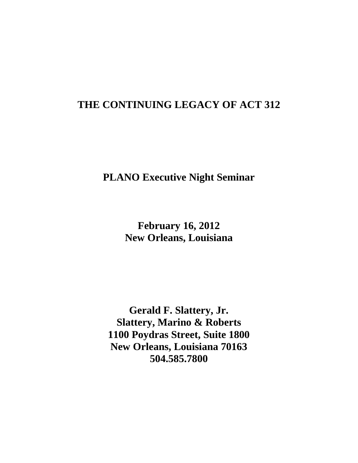# **THE CONTINUING LEGACY OF ACT 312**

**PLANO Executive Night Seminar**

**February 16, 2012 New Orleans, Louisiana**

**Gerald F. Slattery, Jr. Slattery, Marino & Roberts 1100 Poydras Street, Suite 1800 New Orleans, Louisiana 70163 504.585.7800**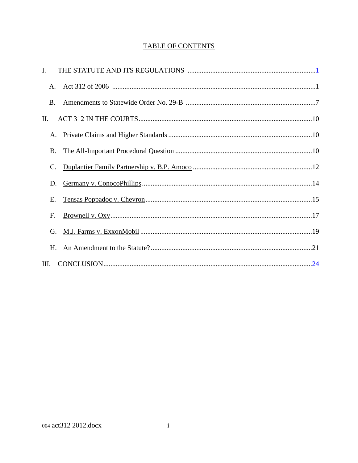# **TABLE OF CONTENTS**

| $\mathbf{I}$ . |           |  |
|----------------|-----------|--|
| A.             |           |  |
| <b>B.</b>      |           |  |
| $\prod$ .      |           |  |
|                |           |  |
|                | <b>B.</b> |  |
|                |           |  |
|                | D.        |  |
| Е.             |           |  |
| F.             |           |  |
|                | G.        |  |
|                | Н.        |  |
| III.           |           |  |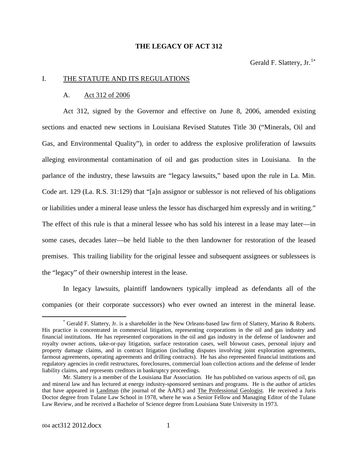# **THE LEGACY OF ACT 312**

# I. THE STATUTE AND ITS REGULATIONS

#### A. Act 312 of 2006

Act 312, signed by the Governor and effective on June 8, 2006, amended existing sections and enacted new sections in Louisiana Revised Statutes Title 30 ("Minerals, Oil and Gas, and Environmental Quality"), in order to address the explosive proliferation of lawsuits alleging environmental contamination of oil and gas production sites in Louisiana. In the parlance of the industry, these lawsuits are "legacy lawsuits," based upon the rule in La. Min. Code art. 129 (La. R.S. 31:129) that "[a]n assignor or sublessor is not relieved of his obligations or liabilities under a mineral lease unless the lessor has discharged him expressly and in writing." The effect of this rule is that a mineral lessee who has sold his interest in a lease may later—in some cases, decades later—be held liable to the then landowner for restoration of the leased premises. This trailing liability for the original lessee and subsequent assignees or sublessees is the "legacy" of their ownership interest in the lease.

In legacy lawsuits, plaintiff landowners typically implead as defendants all of the companies (or their corporate successors) who ever owned an interest in the mineral lease.

<span id="page-2-0"></span> <sup>\*</sup> Gerald F. Slattery, Jr. is a shareholder in the New Orleans-based law firm of Slattery, Marino & Roberts. His practice is concentrated in commercial litigation, representing corporations in the oil and gas industry and financial institutions. He has represented corporations in the oil and gas industry in the defense of landowner and royalty owner actions, take-or-pay litigation, surface restoration cases, well blowout cases, personal injury and property damage claims, and in contract litigation (including disputes involving joint exploration agreements, farmout agreements, operating agreements and drilling contracts). He has also represented financial institutions and regulatory agencies in credit restructures, foreclosures, commercial loan collection actions and the defense of lender liability claims, and represents creditors in bankruptcy proceedings.

Mr. Slattery is a member of the Louisiana Bar Association. He has published on various aspects of oil, gas and mineral law and has lectured at energy industry-sponsored seminars and programs. He is the author of articles that have appeared in Landman (the journal of the AAPL) and The Professional Geologist. He received a Juris Doctor degree from Tulane Law School in 1978, where he was a Senior Fellow and Managing Editor of the Tulane Law Review, and he received a Bachelor of Science degree from Louisiana State University in 1973.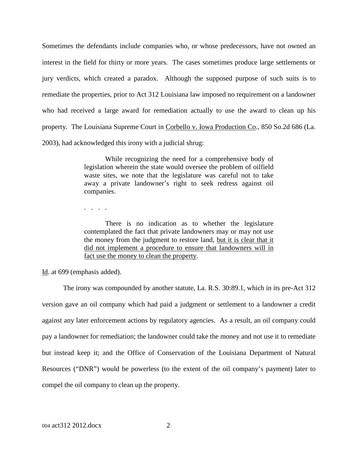Sometimes the defendants include companies who, or whose predecessors, have not owned an interest in the field for thirty or more years. The cases sometimes produce large settlements or jury verdicts, which created a paradox. Although the supposed purpose of such suits is to remediate the properties, prior to Act 312 Louisiana law imposed no requirement on a landowner who had received a large award for remediation actually to use the award to clean up his property. The Louisiana Supreme Court in Corbello v. Iowa Production Co., 850 So.2d 686 (La. 2003), had acknowledged this irony with a judicial shrug:

> While recognizing the need for a comprehensive body of legislation wherein the state would oversee the problem of oilfield waste sites, we note that the legislature was careful not to take away a private landowner's right to seek redress against oil companies.

. . . .

There is no indication as to whether the legislature contemplated the fact that private landowners may or may not use the money from the judgment to restore land, but it is clear that it did not implement a procedure to ensure that landowners will in fact use the money to clean the property.

Id. at 699 (emphasis added).

The irony was compounded by another statute, La. R.S. 30:89.1, which in its pre-Act 312 version gave an oil company which had paid a judgment or settlement to a landowner a credit against any later enforcement actions by regulatory agencies. As a result, an oil company could pay a landowner for remediation; the landowner could take the money and not use it to remediate but instead keep it; and the Office of Conservation of the Louisiana Department of Natural Resources ("DNR") would be powerless (to the extent of the oil company's payment) later to compel the oil company to clean up the property.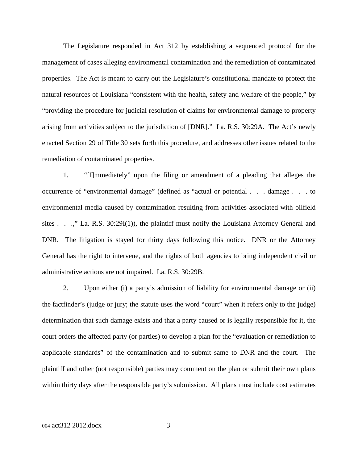The Legislature responded in Act 312 by establishing a sequenced protocol for the management of cases alleging environmental contamination and the remediation of contaminated properties. The Act is meant to carry out the Legislature's constitutional mandate to protect the natural resources of Louisiana "consistent with the health, safety and welfare of the people," by "providing the procedure for judicial resolution of claims for environmental damage to property arising from activities subject to the jurisdiction of [DNR]." La. R.S. 30:29A. The Act's newly enacted Section 29 of Title 30 sets forth this procedure, and addresses other issues related to the remediation of contaminated properties.

1. "[I]mmediately" upon the filing or amendment of a pleading that alleges the occurrence of "environmental damage" (defined as "actual or potential . . . damage . . . to environmental media caused by contamination resulting from activities associated with oilfield sites . . .," La. R.S. 30:29I(1)), the plaintiff must notify the Louisiana Attorney General and DNR. The litigation is stayed for thirty days following this notice. DNR or the Attorney General has the right to intervene, and the rights of both agencies to bring independent civil or administrative actions are not impaired. La. R.S. 30:29B.

2. Upon either (i) a party's admission of liability for environmental damage or (ii) the factfinder's (judge or jury; the statute uses the word "court" when it refers only to the judge) determination that such damage exists and that a party caused or is legally responsible for it, the court orders the affected party (or parties) to develop a plan for the "evaluation or remediation to applicable standards" of the contamination and to submit same to DNR and the court. The plaintiff and other (not responsible) parties may comment on the plan or submit their own plans within thirty days after the responsible party's submission. All plans must include cost estimates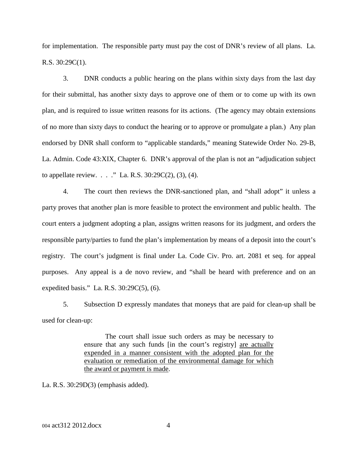for implementation. The responsible party must pay the cost of DNR's review of all plans. La. R.S. 30:29C(1).

3. DNR conducts a public hearing on the plans within sixty days from the last day for their submittal, has another sixty days to approve one of them or to come up with its own plan, and is required to issue written reasons for its actions. (The agency may obtain extensions of no more than sixty days to conduct the hearing or to approve or promulgate a plan.) Any plan endorsed by DNR shall conform to "applicable standards," meaning Statewide Order No. 29-B, La. Admin. Code 43:XIX, Chapter 6. DNR's approval of the plan is not an "adjudication subject to appellate review. . . . " La. R.S.  $30:29C(2), (3), (4)$ .

4. The court then reviews the DNR-sanctioned plan, and "shall adopt" it unless a party proves that another plan is more feasible to protect the environment and public health. The court enters a judgment adopting a plan, assigns written reasons for its judgment, and orders the responsible party/parties to fund the plan's implementation by means of a deposit into the court's registry. The court's judgment is final under La. Code Civ. Pro. art. 2081 et seq. for appeal purposes. Any appeal is a de novo review, and "shall be heard with preference and on an expedited basis." La. R.S. 30:29C(5), (6).

5. Subsection D expressly mandates that moneys that are paid for clean-up shall be used for clean-up:

> The court shall issue such orders as may be necessary to ensure that any such funds [in the court's registry] are actually expended in a manner consistent with the adopted plan for the evaluation or remediation of the environmental damage for which the award or payment is made.

La. R.S. 30:29D(3) (emphasis added).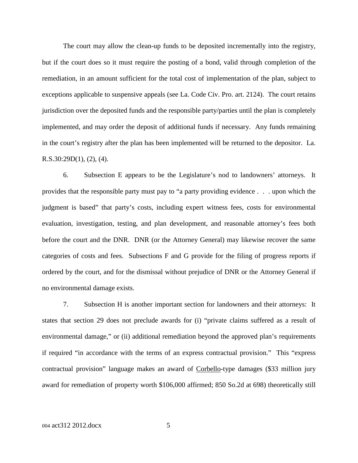The court may allow the clean-up funds to be deposited incrementally into the registry, but if the court does so it must require the posting of a bond, valid through completion of the remediation, in an amount sufficient for the total cost of implementation of the plan, subject to exceptions applicable to suspensive appeals (see La. Code Civ. Pro. art. 2124). The court retains jurisdiction over the deposited funds and the responsible party/parties until the plan is completely implemented, and may order the deposit of additional funds if necessary. Any funds remaining in the court's registry after the plan has been implemented will be returned to the depositor. La. R.S.30:29D(1), (2), (4).

6. Subsection E appears to be the Legislature's nod to landowners' attorneys. It provides that the responsible party must pay to "a party providing evidence . . . upon which the judgment is based" that party's costs, including expert witness fees, costs for environmental evaluation, investigation, testing, and plan development, and reasonable attorney's fees both before the court and the DNR. DNR (or the Attorney General) may likewise recover the same categories of costs and fees. Subsections F and G provide for the filing of progress reports if ordered by the court, and for the dismissal without prejudice of DNR or the Attorney General if no environmental damage exists.

7. Subsection H is another important section for landowners and their attorneys: It states that section 29 does not preclude awards for (i) "private claims suffered as a result of environmental damage," or (ii) additional remediation beyond the approved plan's requirements if required "in accordance with the terms of an express contractual provision." This "express contractual provision" language makes an award of Corbello-type damages (\$33 million jury award for remediation of property worth \$106,000 affirmed; 850 So.2d at 698) theoretically still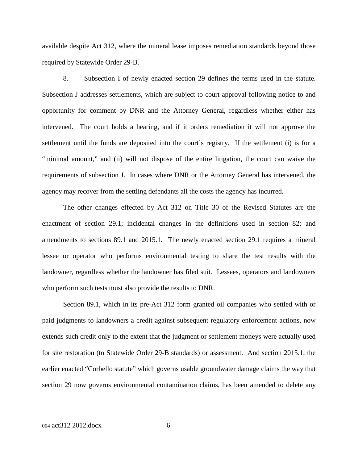available despite Act 312, where the mineral lease imposes remediation standards beyond those required by Statewide Order 29-B.

8. Subsection I of newly enacted section 29 defines the terms used in the statute. Subsection J addresses settlements, which are subject to court approval following notice to and opportunity for comment by DNR and the Attorney General, regardless whether either has intervened. The court holds a hearing, and if it orders remediation it will not approve the settlement until the funds are deposited into the court's registry. If the settlement (i) is for a "minimal amount," and (ii) will not dispose of the entire litigation, the court can waive the requirements of subsection J. In cases where DNR or the Attorney General has intervened, the agency may recover from the settling defendants all the costs the agency has incurred.

The other changes effected by Act 312 on Title 30 of the Revised Statutes are the enactment of section 29.1; incidental changes in the definitions used in section 82; and amendments to sections 89.1 and 2015.1. The newly enacted section 29.1 requires a mineral lessee or operator who performs environmental testing to share the test results with the landowner, regardless whether the landowner has filed suit. Lessees, operators and landowners who perform such tests must also provide the results to DNR.

Section 89.1, which in its pre-Act 312 form granted oil companies who settled with or paid judgments to landowners a credit against subsequent regulatory enforcement actions, now extends such credit only to the extent that the judgment or settlement moneys were actually used for site restoration (to Statewide Order 29-B standards) or assessment. And section 2015.1, the earlier enacted "Corbello statute" which governs usable groundwater damage claims the way that section 29 now governs environmental contamination claims, has been amended to delete any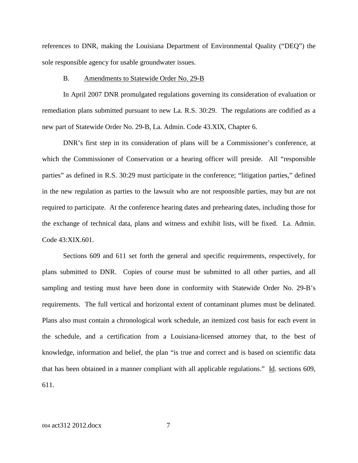references to DNR, making the Louisiana Department of Environmental Quality ("DEQ") the sole responsible agency for usable groundwater issues.

#### B. Amendments to Statewide Order No. 29-B

In April 2007 DNR promulgated regulations governing its consideration of evaluation or remediation plans submitted pursuant to new La. R.S. 30:29. The regulations are codified as a new part of Statewide Order No. 29-B, La. Admin. Code 43.XIX, Chapter 6.

DNR's first step in its consideration of plans will be a Commissioner's conference, at which the Commissioner of Conservation or a hearing officer will preside. All "responsible parties" as defined in R.S. 30:29 must participate in the conference; "litigation parties," defined in the new regulation as parties to the lawsuit who are not responsible parties, may but are not required to participate. At the conference hearing dates and prehearing dates, including those for the exchange of technical data, plans and witness and exhibit lists, will be fixed. La. Admin. Code 43:XIX.601.

Sections 609 and 611 set forth the general and specific requirements, respectively, for plans submitted to DNR. Copies of course must be submitted to all other parties, and all sampling and testing must have been done in conformity with Statewide Order No. 29-B's requirements. The full vertical and horizontal extent of contaminant plumes must be delinated. Plans also must contain a chronological work schedule, an itemized cost basis for each event in the schedule, and a certification from a Louisiana-licensed attorney that, to the best of knowledge, information and belief, the plan "is true and correct and is based on scientific data that has been obtained in a manner compliant with all applicable regulations." Id. sections 609, 611.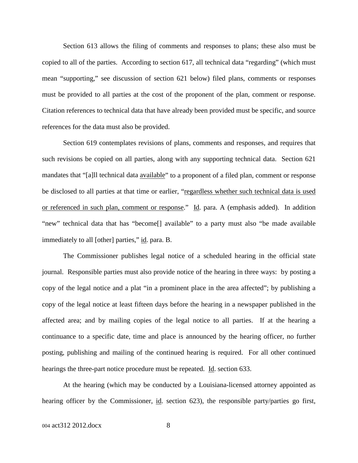Section 613 allows the filing of comments and responses to plans; these also must be copied to all of the parties. According to section 617, all technical data "regarding" (which must mean "supporting," see discussion of section 621 below) filed plans, comments or responses must be provided to all parties at the cost of the proponent of the plan, comment or response. Citation references to technical data that have already been provided must be specific, and source references for the data must also be provided.

Section 619 contemplates revisions of plans, comments and responses, and requires that such revisions be copied on all parties, along with any supporting technical data. Section 621 mandates that "[a]ll technical data available" to a proponent of a filed plan, comment or response be disclosed to all parties at that time or earlier, "regardless whether such technical data is used or referenced in such plan, comment or response." Id. para. A (emphasis added). In addition "new" technical data that has "become[] available" to a party must also "be made available immediately to all [other] parties," id. para. B.

The Commissioner publishes legal notice of a scheduled hearing in the official state journal. Responsible parties must also provide notice of the hearing in three ways: by posting a copy of the legal notice and a plat "in a prominent place in the area affected"; by publishing a copy of the legal notice at least fifteen days before the hearing in a newspaper published in the affected area; and by mailing copies of the legal notice to all parties. If at the hearing a continuance to a specific date, time and place is announced by the hearing officer, no further posting, publishing and mailing of the continued hearing is required. For all other continued hearings the three-part notice procedure must be repeated. Id. section 633.

At the hearing (which may be conducted by a Louisiana-licensed attorney appointed as hearing officer by the Commissioner, id. section 623), the responsible party/parties go first,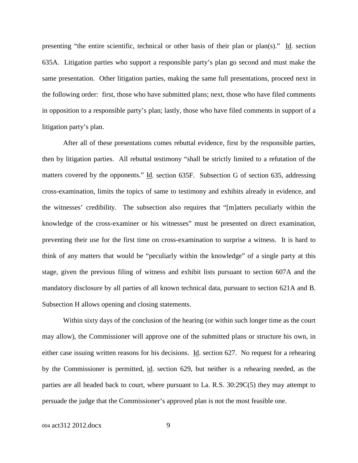presenting "the entire scientific, technical or other basis of their plan or plan(s)." Id. section 635A. Litigation parties who support a responsible party's plan go second and must make the same presentation. Other litigation parties, making the same full presentations, proceed next in the following order: first, those who have submitted plans; next, those who have filed comments in opposition to a responsible party's plan; lastly, those who have filed comments in support of a litigation party's plan.

After all of these presentations comes rebuttal evidence, first by the responsible parties, then by litigation parties. All rebuttal testimony "shall be strictly limited to a refutation of the matters covered by the opponents." Id. section 635F. Subsection G of section 635, addressing cross-examination, limits the topics of same to testimony and exhibits already in evidence, and the witnesses' credibility. The subsection also requires that "[m]atters peculiarly within the knowledge of the cross-examiner or his witnesses" must be presented on direct examination, preventing their use for the first time on cross-examination to surprise a witness. It is hard to think of any matters that would be "peculiarly within the knowledge" of a single party at this stage, given the previous filing of witness and exhibit lists pursuant to section 607A and the mandatory disclosure by all parties of all known technical data, pursuant to section 621A and B. Subsection H allows opening and closing statements.

Within sixty days of the conclusion of the hearing (or within such longer time as the court may allow), the Commissioner will approve one of the submitted plans or structure his own, in either case issuing written reasons for his decisions. Id. section 627. No request for a rehearing by the Commissioner is permitted, id. section 629, but neither is a rehearing needed, as the parties are all headed back to court, where pursuant to La. R.S. 30:29C(5) they may attempt to persuade the judge that the Commissioner's approved plan is not the most feasible one.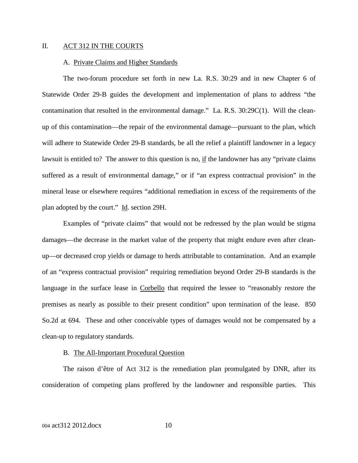#### II. ACT 312 IN THE COURTS

#### A. Private Claims and Higher Standards

The two-forum procedure set forth in new La. R.S. 30:29 and in new Chapter 6 of Statewide Order 29-B guides the development and implementation of plans to address "the contamination that resulted in the environmental damage." La. R.S. 30:29C(1). Will the cleanup of this contamination—the repair of the environmental damage—pursuant to the plan, which will adhere to Statewide Order 29-B standards, be all the relief a plaintiff landowner in a legacy lawsuit is entitled to? The answer to this question is no, if the landowner has any "private claims suffered as a result of environmental damage," or if "an express contractual provision" in the mineral lease or elsewhere requires "additional remediation in excess of the requirements of the plan adopted by the court." Id. section 29H.

Examples of "private claims" that would not be redressed by the plan would be stigma damages—the decrease in the market value of the property that might endure even after cleanup—or decreased crop yields or damage to herds attributable to contamination. And an example of an "express contractual provision" requiring remediation beyond Order 29-B standards is the language in the surface lease in Corbello that required the lessee to "reasonably restore the premises as nearly as possible to their present condition" upon termination of the lease. 850 So.2d at 694. These and other conceivable types of damages would not be compensated by a clean-up to regulatory standards.

# B. The All-Important Procedural Question

The raison d'être of Act 312 is the remediation plan promulgated by DNR, after its consideration of competing plans proffered by the landowner and responsible parties. This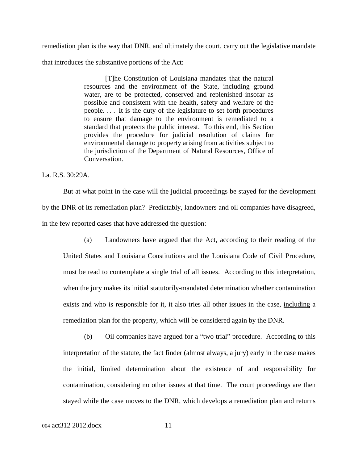remediation plan is the way that DNR, and ultimately the court, carry out the legislative mandate that introduces the substantive portions of the Act:

> [T]he Constitution of Louisiana mandates that the natural resources and the environment of the State, including ground water, are to be protected, conserved and replenished insofar as possible and consistent with the health, safety and welfare of the people. . . . It is the duty of the legislature to set forth procedures to ensure that damage to the environment is remediated to a standard that protects the public interest. To this end, this Section provides the procedure for judicial resolution of claims for environmental damage to property arising from activities subject to the jurisdiction of the Department of Natural Resources, Office of Conversation.

La. R.S. 30:29A.

But at what point in the case will the judicial proceedings be stayed for the development by the DNR of its remediation plan? Predictably, landowners and oil companies have disagreed, in the few reported cases that have addressed the question:

(a) Landowners have argued that the Act, according to their reading of the United States and Louisiana Constitutions and the Louisiana Code of Civil Procedure, must be read to contemplate a single trial of all issues. According to this interpretation, when the jury makes its initial statutorily-mandated determination whether contamination exists and who is responsible for it, it also tries all other issues in the case, including a remediation plan for the property, which will be considered again by the DNR.

(b) Oil companies have argued for a "two trial" procedure. According to this interpretation of the statute, the fact finder (almost always, a jury) early in the case makes the initial, limited determination about the existence of and responsibility for contamination, considering no other issues at that time. The court proceedings are then stayed while the case moves to the DNR, which develops a remediation plan and returns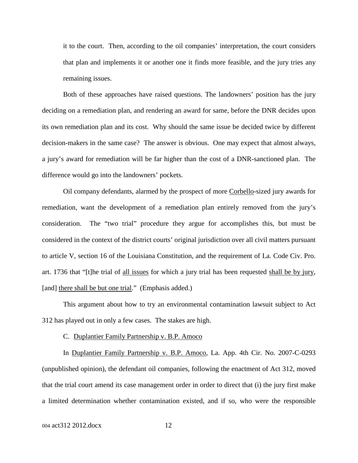it to the court. Then, according to the oil companies' interpretation, the court considers that plan and implements it or another one it finds more feasible, and the jury tries any remaining issues.

Both of these approaches have raised questions. The landowners' position has the jury deciding on a remediation plan, and rendering an award for same, before the DNR decides upon its own remediation plan and its cost. Why should the same issue be decided twice by different decision-makers in the same case? The answer is obvious. One may expect that almost always, a jury's award for remediation will be far higher than the cost of a DNR-sanctioned plan. The difference would go into the landowners' pockets.

Oil company defendants, alarmed by the prospect of more Corbello-sized jury awards for remediation, want the development of a remediation plan entirely removed from the jury's consideration. The "two trial" procedure they argue for accomplishes this, but must be considered in the context of the district courts' original jurisdiction over all civil matters pursuant to article V, section 16 of the Louisiana Constitution, and the requirement of La. Code Civ. Pro. art. 1736 that "[t]he trial of all issues for which a jury trial has been requested shall be by jury, [and] there shall be but one trial." (Emphasis added.)

This argument about how to try an environmental contamination lawsuit subject to Act 312 has played out in only a few cases. The stakes are high.

# C. Duplantier Family Partnership v. B.P. Amoco

In Duplantier Family Partnership v. B.P. Amoco, La. App. 4th Cir. No. 2007-C-0293 (unpublished opinion), the defendant oil companies, following the enactment of Act 312, moved that the trial court amend its case management order in order to direct that (i) the jury first make a limited determination whether contamination existed, and if so, who were the responsible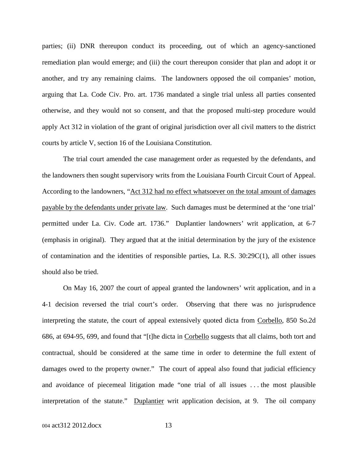parties; (ii) DNR thereupon conduct its proceeding, out of which an agency-sanctioned remediation plan would emerge; and (iii) the court thereupon consider that plan and adopt it or another, and try any remaining claims. The landowners opposed the oil companies' motion, arguing that La. Code Civ. Pro. art. 1736 mandated a single trial unless all parties consented otherwise, and they would not so consent, and that the proposed multi-step procedure would apply Act 312 in violation of the grant of original jurisdiction over all civil matters to the district courts by article V, section 16 of the Louisiana Constitution.

The trial court amended the case management order as requested by the defendants, and the landowners then sought supervisory writs from the Louisiana Fourth Circuit Court of Appeal. According to the landowners, "Act 312 had no effect whatsoever on the total amount of damages payable by the defendants under private law. Such damages must be determined at the 'one trial' permitted under La. Civ. Code art. 1736." Duplantier landowners' writ application, at 6-7 (emphasis in original). They argued that at the initial determination by the jury of the existence of contamination and the identities of responsible parties, La. R.S. 30:29C(1), all other issues should also be tried.

On May 16, 2007 the court of appeal granted the landowners' writ application, and in a 4-1 decision reversed the trial court's order. Observing that there was no jurisprudence interpreting the statute, the court of appeal extensively quoted dicta from Corbello, 850 So.2d 686, at 694-95, 699, and found that "[t]he dicta in Corbello suggests that all claims, both tort and contractual, should be considered at the same time in order to determine the full extent of damages owed to the property owner." The court of appeal also found that judicial efficiency and avoidance of piecemeal litigation made "one trial of all issues . . . the most plausible interpretation of the statute." Duplantier writ application decision, at 9. The oil company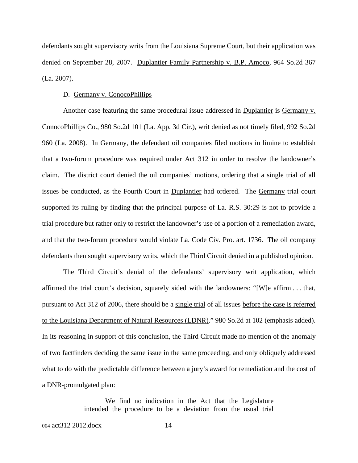defendants sought supervisory writs from the Louisiana Supreme Court, but their application was denied on September 28, 2007. Duplantier Family Partnership v. B.P. Amoco, 964 So.2d 367 (La. 2007).

#### D. Germany v. ConocoPhillips

Another case featuring the same procedural issue addressed in Duplantier is Germany v. ConocoPhillips Co., 980 So.2d 101 (La. App. 3d Cir.), writ denied as not timely filed, 992 So.2d 960 (La. 2008). In Germany, the defendant oil companies filed motions in limine to establish that a two-forum procedure was required under Act 312 in order to resolve the landowner's claim. The district court denied the oil companies' motions, ordering that a single trial of all issues be conducted, as the Fourth Court in Duplantier had ordered. The Germany trial court supported its ruling by finding that the principal purpose of La. R.S. 30:29 is not to provide a trial procedure but rather only to restrict the landowner's use of a portion of a remediation award, and that the two-forum procedure would violate La. Code Civ. Pro. art. 1736. The oil company defendants then sought supervisory writs, which the Third Circuit denied in a published opinion.

The Third Circuit's denial of the defendants' supervisory writ application, which affirmed the trial court's decision, squarely sided with the landowners: "[W]e affirm . . . that, pursuant to Act 312 of 2006, there should be a single trial of all issues before the case is referred to the Louisiana Department of Natural Resources (LDNR)." 980 So.2d at 102 (emphasis added). In its reasoning in support of this conclusion, the Third Circuit made no mention of the anomaly of two factfinders deciding the same issue in the same proceeding, and only obliquely addressed what to do with the predictable difference between a jury's award for remediation and the cost of a DNR-promulgated plan:

> We find no indication in the Act that the Legislature intended the procedure to be a deviation from the usual trial

004 act312 2012.docx 14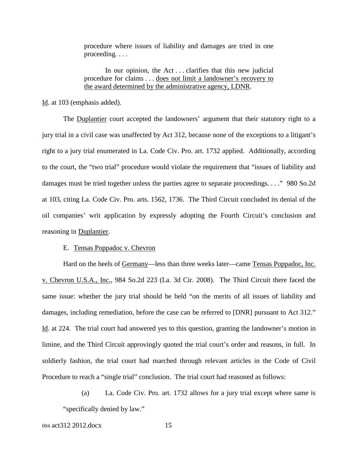procedure where issues of liability and damages are tried in one proceeding. . . .

In our opinion, the Act . . . clarifies that this new judicial procedure for claims . . . does not limit a landowner's recovery to the award determined by the administrative agency, LDNR.

Id. at 103 (emphasis added).

The Duplantier court accepted the landowners' argument that their statutory right to a jury trial in a civil case was unaffected by Act 312, because none of the exceptions to a litigant's right to a jury trial enumerated in La. Code Civ. Pro. art. 1732 applied. Additionally, according to the court, the "two trial" procedure would violate the requirement that "issues of liability and damages must be tried together unless the parties agree to separate proceedings. . . ." 980 So.2d at 103, citing La. Code Civ. Pro. arts. 1562, 1736. The Third Circuit concluded its denial of the oil companies' writ application by expressly adopting the Fourth Circuit's conclusion and reasoning in Duplantier.

# E. Tensas Poppadoc v. Chevron

Hard on the heels of Germany—less than three weeks later—came Tensas Poppadoc, Inc. v. Chevron U.S.A., Inc., 984 So.2d 223 (La. 3d Cir. 2008). The Third Circuit there faced the same issue: whether the jury trial should be held "on the merits of all issues of liability and damages, including remediation, before the case can be referred to [DNR] pursuant to Act 312." Id. at 224. The trial court had answered yes to this question, granting the landowner's motion in limine, and the Third Circuit approvingly quoted the trial court's order and reasons, in full. In soldierly fashion, the trial court had marched through relevant articles in the Code of Civil Procedure to reach a "single trial" conclusion. The trial court had reasoned as follows:

(a) La. Code Civ. Pro. art. 1732 allows for a jury trial except where same is "specifically denied by law."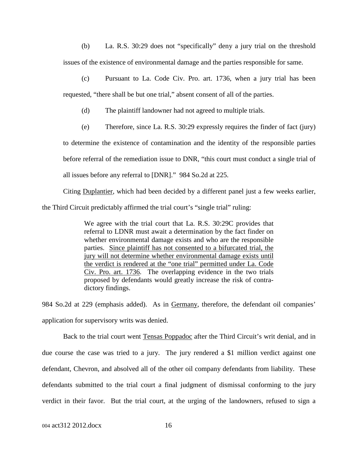(b) La. R.S. 30:29 does not "specifically" deny a jury trial on the threshold issues of the existence of environmental damage and the parties responsible for same.

(c) Pursuant to La. Code Civ. Pro. art. 1736, when a jury trial has been requested, "there shall be but one trial," absent consent of all of the parties.

(d) The plaintiff landowner had not agreed to multiple trials.

(e) Therefore, since La. R.S. 30:29 expressly requires the finder of fact (jury)

to determine the existence of contamination and the identity of the responsible parties before referral of the remediation issue to DNR, "this court must conduct a single trial of all issues before any referral to [DNR]." 984 So.2d at 225.

Citing Duplantier, which had been decided by a different panel just a few weeks earlier, the Third Circuit predictably affirmed the trial court's "single trial" ruling:

> We agree with the trial court that La. R.S. 30:29C provides that referral to LDNR must await a determination by the fact finder on whether environmental damage exists and who are the responsible parties. Since plaintiff has not consented to a bifurcated trial, the jury will not determine whether environmental damage exists until the verdict is rendered at the "one trial" permitted under La. Code Civ. Pro. art. 1736. The overlapping evidence in the two trials proposed by defendants would greatly increase the risk of contradictory findings.

984 So.2d at 229 (emphasis added). As in Germany, therefore, the defendant oil companies' application for supervisory writs was denied.

Back to the trial court went Tensas Poppadoc after the Third Circuit's writ denial, and in due course the case was tried to a jury. The jury rendered a \$1 million verdict against one defendant, Chevron, and absolved all of the other oil company defendants from liability. These defendants submitted to the trial court a final judgment of dismissal conforming to the jury verdict in their favor. But the trial court, at the urging of the landowners, refused to sign a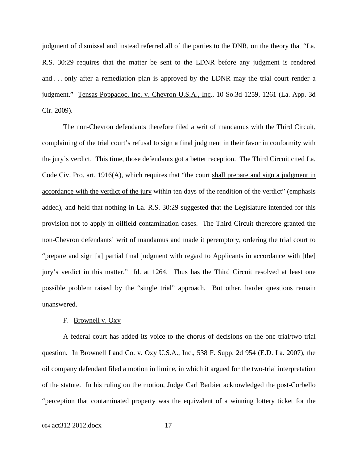judgment of dismissal and instead referred all of the parties to the DNR, on the theory that "La. R.S. 30:29 requires that the matter be sent to the LDNR before any judgment is rendered and . . . only after a remediation plan is approved by the LDNR may the trial court render a judgment." Tensas Poppadoc, Inc. v. Chevron U.S.A., Inc., 10 So.3d 1259, 1261 (La. App. 3d Cir. 2009).

The non-Chevron defendants therefore filed a writ of mandamus with the Third Circuit, complaining of the trial court's refusal to sign a final judgment in their favor in conformity with the jury's verdict. This time, those defendants got a better reception. The Third Circuit cited La. Code Civ. Pro. art. 1916(A), which requires that "the court shall prepare and sign a judgment in accordance with the verdict of the jury within ten days of the rendition of the verdict" (emphasis added), and held that nothing in La. R.S. 30:29 suggested that the Legislature intended for this provision not to apply in oilfield contamination cases. The Third Circuit therefore granted the non-Chevron defendants' writ of mandamus and made it peremptory, ordering the trial court to "prepare and sign [a] partial final judgment with regard to Applicants in accordance with [the] jury's verdict in this matter." Id. at 1264. Thus has the Third Circuit resolved at least one possible problem raised by the "single trial" approach. But other, harder questions remain unanswered.

#### F. Brownell v. Oxy

A federal court has added its voice to the chorus of decisions on the one trial/two trial question. In <u>Brownell Land Co. v. Oxy U.S.A.</u>, Inc., 538 F. Supp. 2d 954 (E.D. La. 2007), the oil company defendant filed a motion in limine, in which it argued for the two-trial interpretation of the statute. In his ruling on the motion, Judge Carl Barbier acknowledged the post-Corbello "perception that contaminated property was the equivalent of a winning lottery ticket for the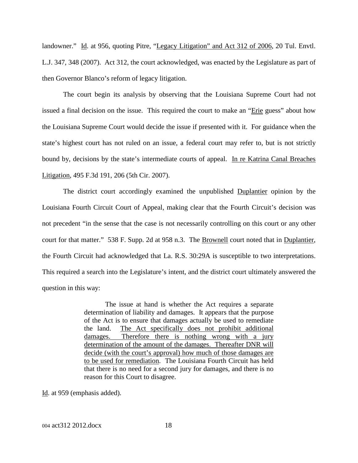landowner." Id. at 956, quoting Pitre, "Legacy Litigation" and Act 312 of 2006, 20 Tul. Envtl. L.J. 347, 348 (2007). Act 312, the court acknowledged, was enacted by the Legislature as part of then Governor Blanco's reform of legacy litigation.

The court begin its analysis by observing that the Louisiana Supreme Court had not issued a final decision on the issue. This required the court to make an "Erie guess" about how the Louisiana Supreme Court would decide the issue if presented with it. For guidance when the state's highest court has not ruled on an issue, a federal court may refer to, but is not strictly bound by, decisions by the state's intermediate courts of appeal. In re Katrina Canal Breaches Litigation, 495 F.3d 191, 206 (5th Cir. 2007).

The district court accordingly examined the unpublished **Duplantier** opinion by the Louisiana Fourth Circuit Court of Appeal, making clear that the Fourth Circuit's decision was not precedent "in the sense that the case is not necessarily controlling on this court or any other court for that matter." 538 F. Supp. 2d at 958 n.3. The Brownell court noted that in Duplantier, the Fourth Circuit had acknowledged that La. R.S. 30:29A is susceptible to two interpretations. This required a search into the Legislature's intent, and the district court ultimately answered the question in this way:

> The issue at hand is whether the Act requires a separate determination of liability and damages. It appears that the purpose of the Act is to ensure that damages actually be used to remediate the land. The Act specifically does not prohibit additional damages. Therefore there is nothing wrong with a jury determination of the amount of the damages. Thereafter DNR will decide (with the court's approval) how much of those damages are to be used for remediation. The Louisiana Fourth Circuit has held that there is no need for a second jury for damages, and there is no reason for this Court to disagree.

Id. at 959 (emphasis added).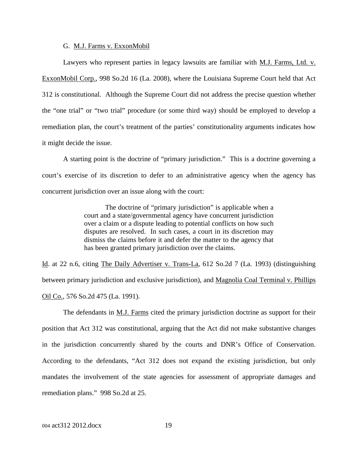#### G. M.J. Farms v. ExxonMobil

Lawyers who represent parties in legacy lawsuits are familiar with M.J. Farms, Ltd. v. ExxonMobil Corp., 998 So.2d 16 (La. 2008), where the Louisiana Supreme Court held that Act 312 is constitutional. Although the Supreme Court did not address the precise question whether the "one trial" or "two trial" procedure (or some third way) should be employed to develop a remediation plan, the court's treatment of the parties' constitutionality arguments indicates how it might decide the issue.

A starting point is the doctrine of "primary jurisdiction." This is a doctrine governing a court's exercise of its discretion to defer to an administrative agency when the agency has concurrent jurisdiction over an issue along with the court:

> The doctrine of "primary jurisdiction" is applicable when a court and a state/governmental agency have concurrent jurisdiction over a claim or a dispute leading to potential conflicts on how such disputes are resolved. In such cases, a court in its discretion may dismiss the claims before it and defer the matter to the agency that has been granted primary jurisdiction over the claims.

Id. at 22 n.6, citing The Daily Advertiser v. Trans-La, 612 So.2d 7 (La. 1993) (distinguishing between primary jurisdiction and exclusive jurisdiction), and Magnolia Coal Terminal v. Phillips Oil Co., 576 So.2d 475 (La. 1991).

The defendants in M.J. Farms cited the primary jurisdiction doctrine as support for their position that Act 312 was constitutional, arguing that the Act did not make substantive changes in the jurisdiction concurrently shared by the courts and DNR's Office of Conservation. According to the defendants, "Act 312 does not expand the existing jurisdiction, but only mandates the involvement of the state agencies for assessment of appropriate damages and remediation plans." 998 So.2d at 25.

004 act312 2012.docx 19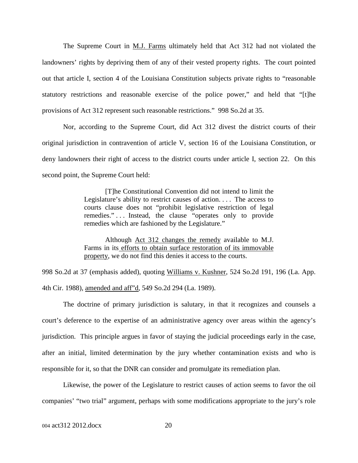The Supreme Court in M.J. Farms ultimately held that Act 312 had not violated the landowners' rights by depriving them of any of their vested property rights. The court pointed out that article I, section 4 of the Louisiana Constitution subjects private rights to "reasonable statutory restrictions and reasonable exercise of the police power," and held that "[t]he provisions of Act 312 represent such reasonable restrictions." 998 So.2d at 35.

Nor, according to the Supreme Court, did Act 312 divest the district courts of their original jurisdiction in contravention of article V, section 16 of the Louisiana Constitution, or deny landowners their right of access to the district courts under article I, section 22. On this second point, the Supreme Court held:

> [T]he Constitutional Convention did not intend to limit the Legislature's ability to restrict causes of action. . . . The access to courts clause does not "prohibit legislative restriction of legal remedies."... Instead, the clause "operates only to provide" remedies which are fashioned by the Legislature."

> Although Act 312 changes the remedy available to M.J. Farms in its efforts to obtain surface restoration of its immovable property, we do not find this denies it access to the courts.

998 So.2d at 37 (emphasis added), quoting Williams v. Kushner, 524 So.2d 191, 196 (La. App. 4th Cir. 1988), amended and aff"d, 549 So.2d 294 (La. 1989).

The doctrine of primary jurisdiction is salutary, in that it recognizes and counsels a court's deference to the expertise of an administrative agency over areas within the agency's jurisdiction. This principle argues in favor of staying the judicial proceedings early in the case, after an initial, limited determination by the jury whether contamination exists and who is responsible for it, so that the DNR can consider and promulgate its remediation plan.

Likewise, the power of the Legislature to restrict causes of action seems to favor the oil companies' "two trial" argument, perhaps with some modifications appropriate to the jury's role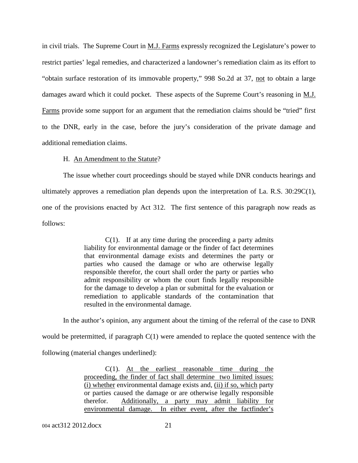in civil trials. The Supreme Court in M.J. Farms expressly recognized the Legislature's power to restrict parties' legal remedies, and characterized a landowner's remediation claim as its effort to "obtain surface restoration of its immovable property," 998 So.2d at 37, not to obtain a large damages award which it could pocket. These aspects of the Supreme Court's reasoning in <u>M.J.</u> Farms provide some support for an argument that the remediation claims should be "tried" first to the DNR, early in the case, before the jury's consideration of the private damage and additional remediation claims.

# H. An Amendment to the Statute?

The issue whether court proceedings should be stayed while DNR conducts hearings and ultimately approves a remediation plan depends upon the interpretation of La. R.S. 30:29C(1), one of the provisions enacted by Act 312. The first sentence of this paragraph now reads as follows:

> $C(1)$ . If at any time during the proceeding a party admits liability for environmental damage or the finder of fact determines that environmental damage exists and determines the party or parties who caused the damage or who are otherwise legally responsible therefor, the court shall order the party or parties who admit responsibility or whom the court finds legally responsible for the damage to develop a plan or submittal for the evaluation or remediation to applicable standards of the contamination that resulted in the environmental damage.

In the author's opinion, any argument about the timing of the referral of the case to DNR would be pretermitted, if paragraph C(1) were amended to replace the quoted sentence with the following (material changes underlined):

> $C(1)$ . At the earliest reasonable time during the proceeding, the finder of fact shall determine two limited issues: (i) whether environmental damage exists and, (ii) if so, which party or parties caused the damage or are otherwise legally responsible therefor. Additionally, a party may admit liability for environmental damage. In either event, after the factfinder's

004 act312 2012.docx 21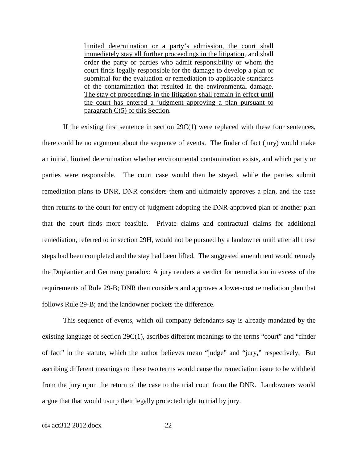limited determination or a party's admission, the court shall immediately stay all further proceedings in the litigation, and shall order the party or parties who admit responsibility or whom the court finds legally responsible for the damage to develop a plan or submittal for the evaluation or remediation to applicable standards of the contamination that resulted in the environmental damage. The stay of proceedings in the litigation shall remain in effect until the court has entered a judgment approving a plan pursuant to paragraph  $C(5)$  of this Section.

If the existing first sentence in section  $29C(1)$  were replaced with these four sentences, there could be no argument about the sequence of events. The finder of fact (jury) would make an initial, limited determination whether environmental contamination exists, and which party or parties were responsible. The court case would then be stayed, while the parties submit remediation plans to DNR, DNR considers them and ultimately approves a plan, and the case then returns to the court for entry of judgment adopting the DNR-approved plan or another plan that the court finds more feasible. Private claims and contractual claims for additional remediation, referred to in section 29H, would not be pursued by a landowner until after all these steps had been completed and the stay had been lifted. The suggested amendment would remedy the Duplantier and Germany paradox: A jury renders a verdict for remediation in excess of the requirements of Rule 29-B; DNR then considers and approves a lower-cost remediation plan that follows Rule 29-B; and the landowner pockets the difference.

This sequence of events, which oil company defendants say is already mandated by the existing language of section 29C(1), ascribes different meanings to the terms "court" and "finder of fact" in the statute, which the author believes mean "judge" and "jury," respectively. But ascribing different meanings to these two terms would cause the remediation issue to be withheld from the jury upon the return of the case to the trial court from the DNR. Landowners would argue that that would usurp their legally protected right to trial by jury.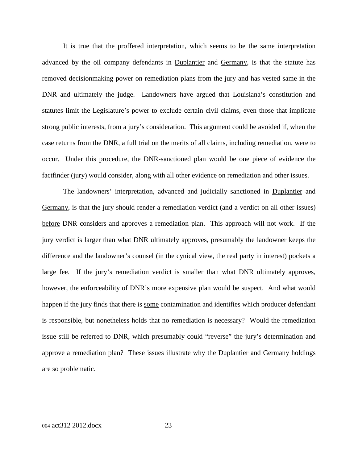It is true that the proffered interpretation, which seems to be the same interpretation advanced by the oil company defendants in Duplantier and Germany, is that the statute has removed decisionmaking power on remediation plans from the jury and has vested same in the DNR and ultimately the judge. Landowners have argued that Louisiana's constitution and statutes limit the Legislature's power to exclude certain civil claims, even those that implicate strong public interests, from a jury's consideration. This argument could be avoided if, when the case returns from the DNR, a full trial on the merits of all claims, including remediation, were to occur. Under this procedure, the DNR-sanctioned plan would be one piece of evidence the factfinder (jury) would consider, along with all other evidence on remediation and other issues.

The landowners' interpretation, advanced and judicially sanctioned in Duplantier and Germany, is that the jury should render a remediation verdict (and a verdict on all other issues) before DNR considers and approves a remediation plan. This approach will not work. If the jury verdict is larger than what DNR ultimately approves, presumably the landowner keeps the difference and the landowner's counsel (in the cynical view, the real party in interest) pockets a large fee. If the jury's remediation verdict is smaller than what DNR ultimately approves, however, the enforceability of DNR's more expensive plan would be suspect. And what would happen if the jury finds that there is some contamination and identifies which producer defendant is responsible, but nonetheless holds that no remediation is necessary? Would the remediation issue still be referred to DNR, which presumably could "reverse" the jury's determination and approve a remediation plan? These issues illustrate why the **Duplantier** and **Germany** holdings are so problematic.